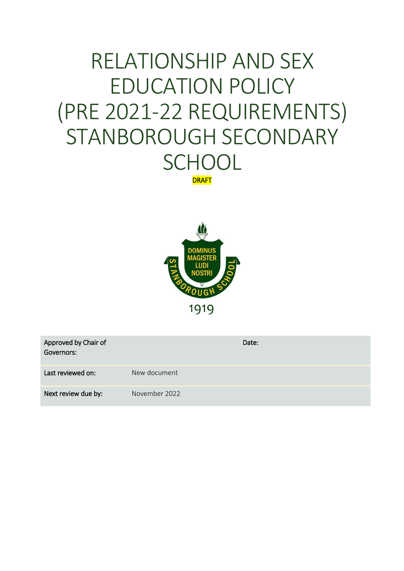# RELATIONSHIP AND SEX EDUCATION POLICY (PRE 2021-22 REQUIREMENTS) STANBOROUGH SECONDARY **SCHOOL DRAFT**

**DOMINIIS** 1919

| Approved by Chair of<br>Governors: |               | Date: |
|------------------------------------|---------------|-------|
| Last reviewed on:                  | New document  |       |
| Next review due by:                | November 2022 |       |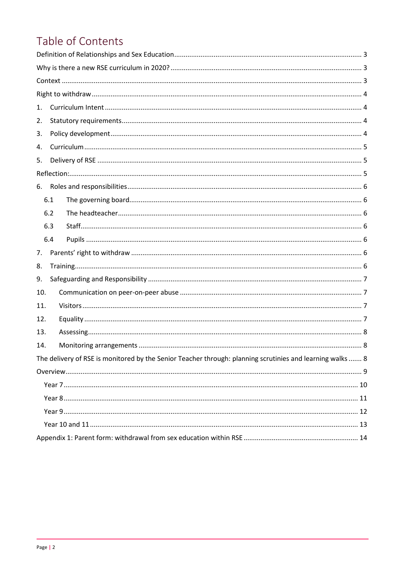# Table of Contents

| 1.                                                                                                        |     |  |  |  |  |  |
|-----------------------------------------------------------------------------------------------------------|-----|--|--|--|--|--|
| 2.                                                                                                        |     |  |  |  |  |  |
| 3.                                                                                                        |     |  |  |  |  |  |
| 4.                                                                                                        |     |  |  |  |  |  |
| 5.                                                                                                        |     |  |  |  |  |  |
|                                                                                                           |     |  |  |  |  |  |
| 6.                                                                                                        |     |  |  |  |  |  |
|                                                                                                           | 6.1 |  |  |  |  |  |
|                                                                                                           | 6.2 |  |  |  |  |  |
|                                                                                                           | 6.3 |  |  |  |  |  |
|                                                                                                           | 6.4 |  |  |  |  |  |
| 7.                                                                                                        |     |  |  |  |  |  |
| 8.                                                                                                        |     |  |  |  |  |  |
| 9.                                                                                                        |     |  |  |  |  |  |
| 10.                                                                                                       |     |  |  |  |  |  |
| 11.                                                                                                       |     |  |  |  |  |  |
| 12.                                                                                                       |     |  |  |  |  |  |
| 13.                                                                                                       |     |  |  |  |  |  |
| 14.                                                                                                       |     |  |  |  |  |  |
| The delivery of RSE is monitored by the Senior Teacher through: planning scrutinies and learning walks  8 |     |  |  |  |  |  |
|                                                                                                           |     |  |  |  |  |  |
|                                                                                                           |     |  |  |  |  |  |
|                                                                                                           |     |  |  |  |  |  |
|                                                                                                           |     |  |  |  |  |  |
|                                                                                                           |     |  |  |  |  |  |
|                                                                                                           |     |  |  |  |  |  |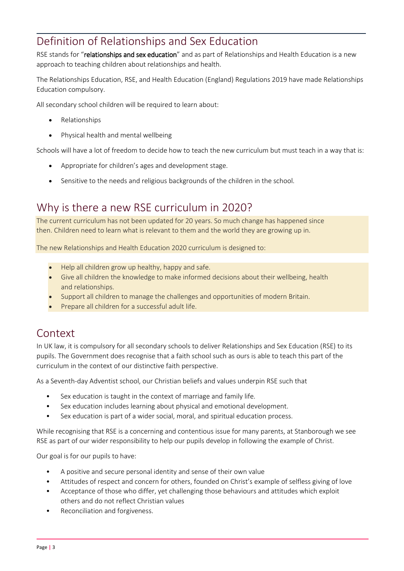# <span id="page-2-0"></span>Definition of Relationships and Sex Education

RSE stands for "relationships and sex education" and as part of Relationships and Health Education is a new approach to teaching children about relationships and health.

The Relationships Education, RSE, and Health Education (England) Regulations 2019 have made Relationships Education compulsory.

All secondary school children will be required to learn about:

- Relationships
- Physical health and mental wellbeing

Schools will have a lot of freedom to decide how to teach the new curriculum but must teach in a way that is:

- Appropriate for children's ages and development stage.
- Sensitive to the needs and religious backgrounds of the children in the school.

## <span id="page-2-1"></span>Why is there a new RSE curriculum in 2020?

The current curriculum has not been updated for 20 years. So much change has happened since then. Children need to learn what is relevant to them and the world they are growing up in.

The new Relationships and Health Education 2020 curriculum is designed to:

- Help all children grow up healthy, happy and safe.
- Give all children the knowledge to make informed decisions about their wellbeing, health and relationships.
- Support all children to manage the challenges and opportunities of modern Britain.
- Prepare all children for a successful adult life.

## <span id="page-2-2"></span>Context

In UK law, it is compulsory for all secondary schools to deliver Relationships and Sex Education (RSE) to its pupils. The Government does recognise that a faith school such as ours is able to teach this part of the curriculum in the context of our distinctive faith perspective.

As a Seventh-day Adventist school, our Christian beliefs and values underpin RSE such that

- Sex education is taught in the context of marriage and family life.
- Sex education includes learning about physical and emotional development.
- Sex education is part of a wider social, moral, and spiritual education process.

While recognising that RSE is a concerning and contentious issue for many parents, at Stanborough we see RSE as part of our wider responsibility to help our pupils develop in following the example of Christ.

Our goal is for our pupils to have:

- A positive and secure personal identity and sense of their own value
- Attitudes of respect and concern for others, founded on Christ's example of selfless giving of love
- Acceptance of those who differ, yet challenging those behaviours and attitudes which exploit others and do not reflect Christian values
- Reconciliation and forgiveness.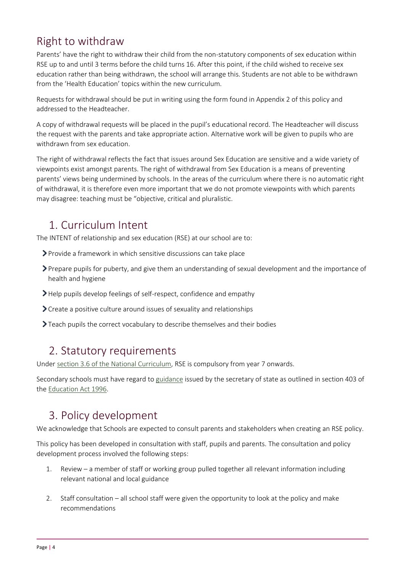# <span id="page-3-0"></span>Right to withdraw

Parents' have the right to withdraw their child from the non-statutory components of sex education within RSE up to and until 3 terms before the child turns 16. After this point, if the child wished to receive sex education rather than being withdrawn, the school will arrange this. Students are not able to be withdrawn from the 'Health Education' topics within the new curriculum.

Requests for withdrawal should be put in writing using the form found in Appendix 2 of this policy and addressed to the Headteacher.

A copy of withdrawal requests will be placed in the pupil's educational record. The Headteacher will discuss the request with the parents and take appropriate action. Alternative work will be given to pupils who are withdrawn from sex education.

The right of withdrawal reflects the fact that issues around Sex Education are sensitive and a wide variety of viewpoints exist amongst parents. The right of withdrawal from Sex Education is a means of preventing parents' views being undermined by schools. In the areas of the curriculum where there is no automatic right of withdrawal, it is therefore even more important that we do not promote viewpoints with which parents may disagree: teaching must be "objective, critical and pluralistic.

# <span id="page-3-1"></span>1. Curriculum Intent

The INTENT of relationship and sex education (RSE) at our school are to:

- Provide a framework in which sensitive discussions can take place
- Prepare pupils for puberty, and give them an understanding of sexual development and the importance of health and hygiene
- Help pupils develop feelings of self-respect, confidence and empathy
- > Create a positive culture around issues of sexuality and relationships
- Teach pupils the correct vocabulary to describe themselves and their bodies

## <span id="page-3-2"></span>2. Statutory requirements

Under [section 3.6 of the National Curriculum,](https://www.gov.uk/government/publications/national-curriculum-in-england-framework-for-key-stages-1-to-4/the-national-curriculum-in-england-framework-for-key-stages-1-to-4) RSE is compulsory from year 7 onwards.

Secondary schools must have regard t[o guidance](https://www.gov.uk/government/publications/sex-and-relationship-education) issued by the secretary of state as outlined in section 403 of the [Education Act 1996.](http://www.legislation.gov.uk/ukpga/1996/56/contents)

# <span id="page-3-3"></span>3. Policy development

We acknowledge that Schools are expected to consult parents and stakeholders when creating an RSE policy.

This policy has been developed in consultation with staff, pupils and parents. The consultation and policy development process involved the following steps:

- 1. Review a member of staff or working group pulled together all relevant information including relevant national and local guidance
- 2. Staff consultation all school staff were given the opportunity to look at the policy and make recommendations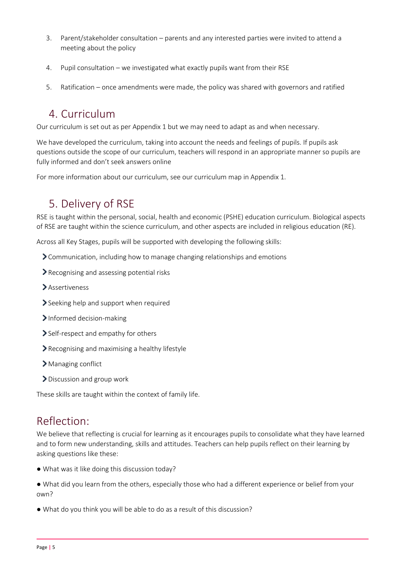- 3. Parent/stakeholder consultation parents and any interested parties were invited to attend a meeting about the policy
- 4. Pupil consultation we investigated what exactly pupils want from their RSE
- 5. Ratification once amendments were made, the policy was shared with governors and ratified

# <span id="page-4-0"></span>4. Curriculum

Our curriculum is set out as per Appendix 1 but we may need to adapt as and when necessary.

We have developed the curriculum, taking into account the needs and feelings of pupils. If pupils ask questions outside the scope of our curriculum, teachers will respond in an appropriate manner so pupils are fully informed and don't seek answers online

<span id="page-4-1"></span>For more information about our curriculum, see our curriculum map in Appendix 1.

# 5. Delivery of RSE

RSE is taught within the personal, social, health and economic (PSHE) education curriculum. Biological aspects of RSE are taught within the science curriculum, and other aspects are included in religious education (RE).

Across all Key Stages, pupils will be supported with developing the following skills:

- Communication, including how to manage changing relationships and emotions
- Recognising and assessing potential risks
- Assertiveness
- Seeking help and support when required
- > Informed decision-making
- Self-respect and empathy for others
- Recognising and maximising a healthy lifestyle
- > Managing conflict
- > Discussion and group work

These skills are taught within the context of family life.

## <span id="page-4-2"></span>Reflection:

We believe that reflecting is crucial for learning as it encourages pupils to consolidate what they have learned and to form new understanding, skills and attitudes. Teachers can help pupils reflect on their learning by asking questions like these:

- What was it like doing this discussion today?
- What did you learn from the others, especially those who had a different experience or belief from your own?
- What do you think you will be able to do as a result of this discussion?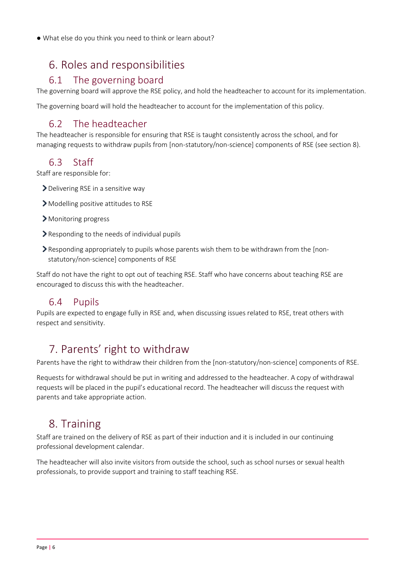● What else do you think you need to think or learn about?

# <span id="page-5-0"></span>6. Roles and responsibilities

#### 6.1 The governing board

<span id="page-5-1"></span>The governing board will approve the RSE policy, and hold the headteacher to account for its implementation.

The governing board will hold the headteacher to account for the implementation of this policy.

#### 6.2 The headteacher

<span id="page-5-2"></span>The headteacher is responsible for ensuring that RSE is taught consistently across the school, and for managing requests to withdraw pupils from [non-statutory/non-science] components of RSE (see section 8).

#### 6.3 Staff

<span id="page-5-3"></span>Staff are responsible for:

- > Delivering RSE in a sensitive way
- > Modelling positive attitudes to RSE
- > Monitoring progress
- Responding to the needs of individual pupils
- Responding appropriately to pupils whose parents wish them to be withdrawn from the [nonstatutory/non-science] components of RSE

Staff do not have the right to opt out of teaching RSE. Staff who have concerns about teaching RSE are encouraged to discuss this with the headteacher.

#### 6.4 Pupils

<span id="page-5-4"></span>Pupils are expected to engage fully in RSE and, when discussing issues related to RSE, treat others with respect and sensitivity.

# <span id="page-5-5"></span>7. Parents' right to withdraw

Parents have the right to withdraw their children from the [non-statutory/non-science] components of RSE.

Requests for withdrawal should be put in writing and addressed to the headteacher. A copy of withdrawal requests will be placed in the pupil's educational record. The headteacher will discuss the request with parents and take appropriate action.

# <span id="page-5-6"></span>8. Training

Staff are trained on the delivery of RSE as part of their induction and it is included in our continuing professional development calendar.

The headteacher will also invite visitors from outside the school, such as school nurses or sexual health professionals, to provide support and training to staff teaching RSE.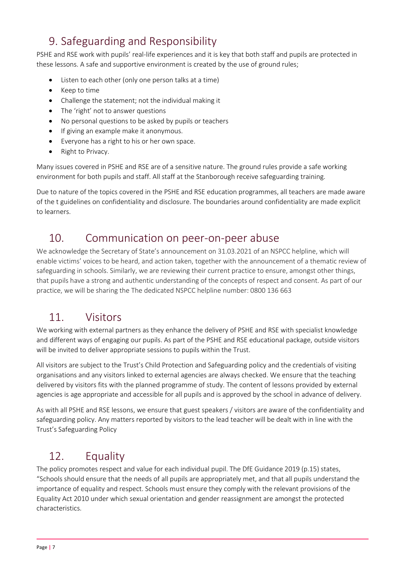# <span id="page-6-0"></span>9. Safeguarding and Responsibility

PSHE and RSE work with pupils' real-life experiences and it is key that both staff and pupils are protected in these lessons. A safe and supportive environment is created by the use of ground rules;

- Listen to each other (only one person talks at a time)
- Keep to time
- Challenge the statement; not the individual making it
- The 'right' not to answer questions
- No personal questions to be asked by pupils or teachers
- If giving an example make it anonymous.
- Everyone has a right to his or her own space.
- Right to Privacy.

Many issues covered in PSHE and RSE are of a sensitive nature. The ground rules provide a safe working environment for both pupils and staff. All staff at the Stanborough receive safeguarding training.

Due to nature of the topics covered in the PSHE and RSE education programmes, all teachers are made aware of the t guidelines on confidentiality and disclosure. The boundaries around confidentiality are made explicit to learners.

# <span id="page-6-1"></span>10. Communication on peer-on-peer abuse

We acknowledge the Secretary of State's announcement on 31.03.2021 of an NSPCC helpline, which will enable victims' voices to be heard, and action taken, together with the announcement of a thematic review of safeguarding in schools. Similarly, we are reviewing their current practice to ensure, amongst other things, that pupils have a strong and authentic understanding of the concepts of respect and consent. As part of our practice, we will be sharing the The dedicated NSPCC helpline number: 0800 136 663

# <span id="page-6-2"></span>11. Visitors

We working with external partners as they enhance the delivery of PSHE and RSE with specialist knowledge and different ways of engaging our pupils. As part of the PSHE and RSE educational package, outside visitors will be invited to deliver appropriate sessions to pupils within the Trust.

All visitors are subject to the Trust's Child Protection and Safeguarding policy and the credentials of visiting organisations and any visitors linked to external agencies are always checked. We ensure that the teaching delivered by visitors fits with the planned programme of study. The content of lessons provided by external agencies is age appropriate and accessible for all pupils and is approved by the school in advance of delivery.

As with all PSHE and RSE lessons, we ensure that guest speakers / visitors are aware of the confidentiality and safeguarding policy. Any matters reported by visitors to the lead teacher will be dealt with in line with the Trust's Safeguarding Policy

# <span id="page-6-3"></span>12. Equality

The policy promotes respect and value for each individual pupil. The DfE Guidance 2019 (p.15) states, "Schools should ensure that the needs of all pupils are appropriately met, and that all pupils understand the importance of equality and respect. Schools must ensure they comply with the relevant provisions of the Equality Act 2010 under which sexual orientation and gender reassignment are amongst the protected characteristics.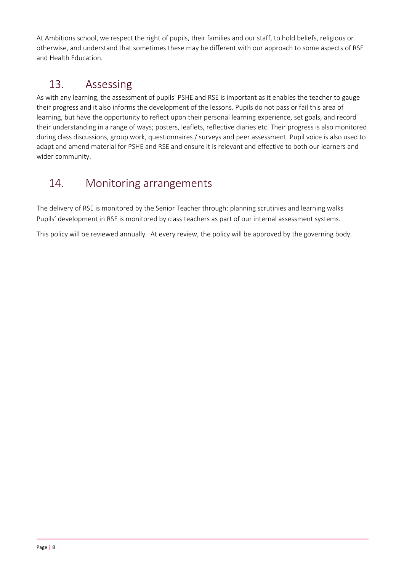At Ambitions school, we respect the right of pupils, their families and our staff, to hold beliefs, religious or otherwise, and understand that sometimes these may be different with our approach to some aspects of RSE and Health Education.

# <span id="page-7-0"></span>13. Assessing

As with any learning, the assessment of pupils' PSHE and RSE is important as it enables the teacher to gauge their progress and it also informs the development of the lessons. Pupils do not pass or fail this area of learning, but have the opportunity to reflect upon their personal learning experience, set goals, and record their understanding in a range of ways; posters, leaflets, reflective diaries etc. Their progress is also monitored during class discussions, group work, questionnaires / surveys and peer assessment. Pupil voice is also used to adapt and amend material for PSHE and RSE and ensure it is relevant and effective to both our learners and wider community.

# <span id="page-7-1"></span>14. Monitoring arrangements

<span id="page-7-2"></span>The delivery of RSE is monitored by the Senior Teacher through: planning scrutinies and learning walks Pupils' development in RSE is monitored by class teachers as part of our internal assessment systems.

This policy will be reviewed annually. At every review, the policy will be approved by the governing body.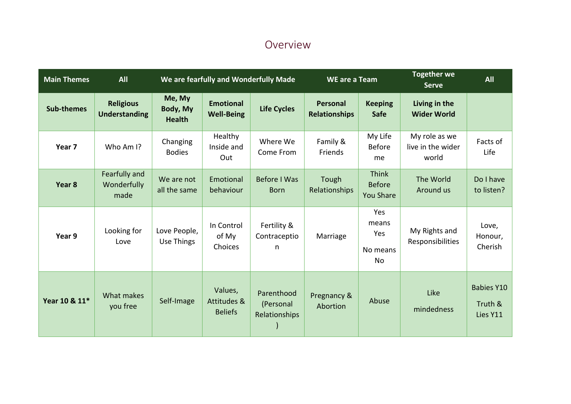## Overview

<span id="page-8-0"></span>

| <b>Main Themes</b> | <b>All</b>                               | We are fearfully and Wonderfully Made |                                          |                                          | <b>WE are a Team</b>             |                                                   | <b>Together we</b><br><b>Serve</b>          | <b>All</b>                               |
|--------------------|------------------------------------------|---------------------------------------|------------------------------------------|------------------------------------------|----------------------------------|---------------------------------------------------|---------------------------------------------|------------------------------------------|
| <b>Sub-themes</b>  | <b>Religious</b><br><b>Understanding</b> | Me, My<br>Body, My<br><b>Health</b>   | <b>Emotional</b><br><b>Well-Being</b>    | <b>Life Cycles</b>                       | Personal<br><b>Relationships</b> | <b>Keeping</b><br><b>Safe</b>                     | Living in the<br><b>Wider World</b>         |                                          |
| Year 7             | Who Am I?                                | Changing<br><b>Bodies</b>             | Healthy<br>Inside and<br>Out             | Where We<br>Come From                    | Family &<br>Friends              | My Life<br><b>Before</b><br>me                    | My role as we<br>live in the wider<br>world | Facts of<br>Life                         |
| Year 8             | Fearfully and<br>Wonderfully<br>made     | We are not<br>all the same            | Emotional<br>behaviour                   | Before I Was<br><b>Born</b>              | Tough<br>Relationships           | <b>Think</b><br><b>Before</b><br><b>You Share</b> | The World<br>Around us                      | Do I have<br>to listen?                  |
| Year 9             | Looking for<br>Love                      | Love People,<br>Use Things            | In Control<br>of My<br>Choices           | Fertility &<br>Contraceptio<br>n         | Marriage                         | Yes<br>means<br>Yes<br>No means<br><b>No</b>      | My Rights and<br>Responsibilities           | Love,<br>Honour,<br>Cherish              |
| Year 10 & 11*      | What makes<br>you free                   | Self-Image                            | Values,<br>Attitudes &<br><b>Beliefs</b> | Parenthood<br>(Personal<br>Relationships | Pregnancy &<br>Abortion          | Abuse                                             | Like<br>mindedness                          | <b>Babies Y10</b><br>Truth &<br>Lies Y11 |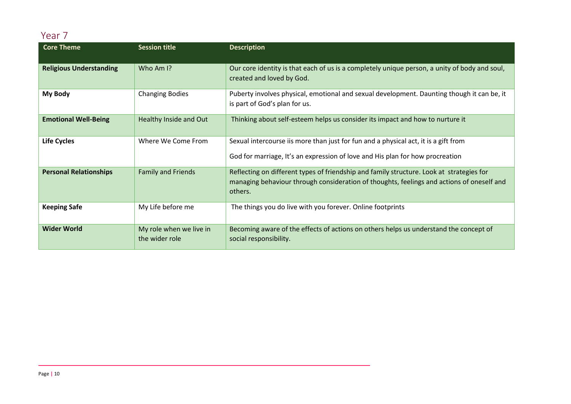### Year 7

<span id="page-9-0"></span>

| <b>Core Theme</b>              | <b>Session title</b>                      | <b>Description</b>                                                                                                                                                                               |
|--------------------------------|-------------------------------------------|--------------------------------------------------------------------------------------------------------------------------------------------------------------------------------------------------|
| <b>Religious Understanding</b> | Who Am I?                                 | Our core identity is that each of us is a completely unique person, a unity of body and soul,<br>created and loved by God.                                                                       |
| My Body                        | <b>Changing Bodies</b>                    | Puberty involves physical, emotional and sexual development. Daunting though it can be, it<br>is part of God's plan for us.                                                                      |
| <b>Emotional Well-Being</b>    | Healthy Inside and Out                    | Thinking about self-esteem helps us consider its impact and how to nurture it                                                                                                                    |
| <b>Life Cycles</b>             | Where We Come From                        | Sexual intercourse iis more than just for fun and a physical act, it is a gift from<br>God for marriage, It's an expression of love and His plan for how procreation                             |
| <b>Personal Relationships</b>  | <b>Family and Friends</b>                 | Reflecting on different types of friendship and family structure. Look at strategies for<br>managing behaviour through consideration of thoughts, feelings and actions of oneself and<br>others. |
| <b>Keeping Safe</b>            | My Life before me                         | The things you do live with you forever. Online footprints                                                                                                                                       |
| <b>Wider World</b>             | My role when we live in<br>the wider role | Becoming aware of the effects of actions on others helps us understand the concept of<br>social responsibility.                                                                                  |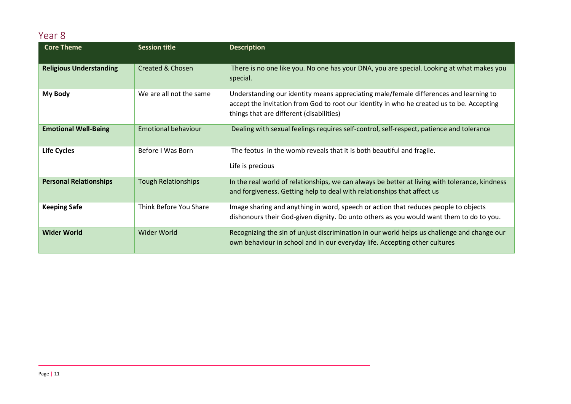### Year 8

<span id="page-10-0"></span>

| <b>Core Theme</b>              | <b>Session title</b>       | <b>Description</b>                                                                                                                                                                                                             |  |
|--------------------------------|----------------------------|--------------------------------------------------------------------------------------------------------------------------------------------------------------------------------------------------------------------------------|--|
| <b>Religious Understanding</b> | Created & Chosen           | There is no one like you. No one has your DNA, you are special. Looking at what makes you<br>special.                                                                                                                          |  |
| My Body                        | We are all not the same    | Understanding our identity means appreciating male/female differences and learning to<br>accept the invitation from God to root our identity in who he created us to be. Accepting<br>things that are different (disabilities) |  |
| <b>Emotional Well-Being</b>    | Emotional behaviour        | Dealing with sexual feelings requires self-control, self-respect, patience and tolerance                                                                                                                                       |  |
| <b>Life Cycles</b>             | Before I Was Born          | The feotus in the womb reveals that it is both beautiful and fragile.<br>Life is precious                                                                                                                                      |  |
| <b>Personal Relationships</b>  | <b>Tough Relationships</b> | In the real world of relationships, we can always be better at living with tolerance, kindness<br>and forgiveness. Getting help to deal with relationships that affect us                                                      |  |
| <b>Keeping Safe</b>            | Think Before You Share     | Image sharing and anything in word, speech or action that reduces people to objects<br>dishonours their God-given dignity. Do unto others as you would want them to do to you.                                                 |  |
| <b>Wider World</b>             | Wider World                | Recognizing the sin of unjust discrimination in our world helps us challenge and change our<br>own behaviour in school and in our everyday life. Accepting other cultures                                                      |  |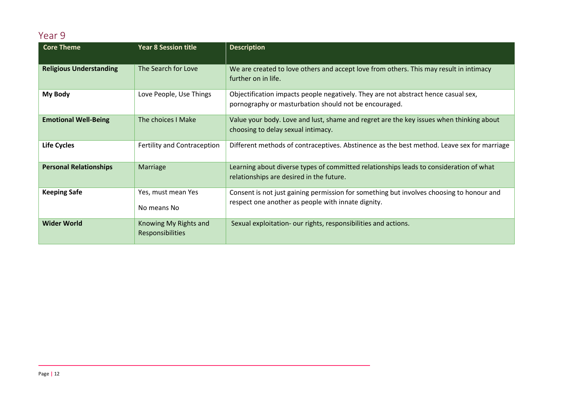### Year 9

<span id="page-11-0"></span>

| <b>Core Theme</b>              | <b>Year 8 Session title</b>                      | <b>Description</b>                                                                                                                             |
|--------------------------------|--------------------------------------------------|------------------------------------------------------------------------------------------------------------------------------------------------|
| <b>Religious Understanding</b> | The Search for Love                              | We are created to love others and accept love from others. This may result in intimacy<br>further on in life.                                  |
| My Body                        | Love People, Use Things                          | Objectification impacts people negatively. They are not abstract hence casual sex,<br>pornography or masturbation should not be encouraged.    |
| <b>Emotional Well-Being</b>    | The choices I Make                               | Value your body. Love and lust, shame and regret are the key issues when thinking about<br>choosing to delay sexual intimacy.                  |
| <b>Life Cycles</b>             | Fertility and Contraception                      | Different methods of contraceptives. Abstinence as the best method. Leave sex for marriage                                                     |
| <b>Personal Relationships</b>  | Marriage                                         | Learning about diverse types of committed relationships leads to consideration of what<br>relationships are desired in the future.             |
| <b>Keeping Safe</b>            | Yes, must mean Yes<br>No means No                | Consent is not just gaining permission for something but involves choosing to honour and<br>respect one another as people with innate dignity. |
| <b>Wider World</b>             | Knowing My Rights and<br><b>Responsibilities</b> | Sexual exploitation- our rights, responsibilities and actions.                                                                                 |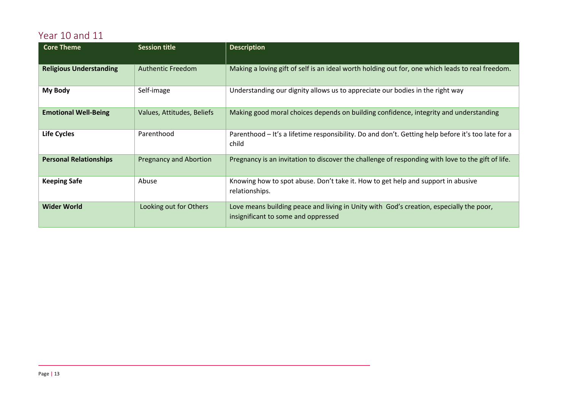# Year 10 and 11

<span id="page-12-0"></span>

| <b>Core Theme</b>              | <b>Session title</b>          | <b>Description</b>                                                                                                             |
|--------------------------------|-------------------------------|--------------------------------------------------------------------------------------------------------------------------------|
| <b>Religious Understanding</b> | Authentic Freedom             | Making a loving gift of self is an ideal worth holding out for, one which leads to real freedom.                               |
| My Body                        | Self-image                    | Understanding our dignity allows us to appreciate our bodies in the right way                                                  |
| <b>Emotional Well-Being</b>    | Values, Attitudes, Beliefs    | Making good moral choices depends on building confidence, integrity and understanding                                          |
| <b>Life Cycles</b>             | Parenthood                    | Parenthood - It's a lifetime responsibility. Do and don't. Getting help before it's too late for a<br>child                    |
| <b>Personal Relationships</b>  | <b>Pregnancy and Abortion</b> | Pregnancy is an invitation to discover the challenge of responding with love to the gift of life.                              |
| <b>Keeping Safe</b>            | Abuse                         | Knowing how to spot abuse. Don't take it. How to get help and support in abusive<br>relationships.                             |
| <b>Wider World</b>             | Looking out for Others        | Love means building peace and living in Unity with God's creation, especially the poor,<br>insignificant to some and oppressed |